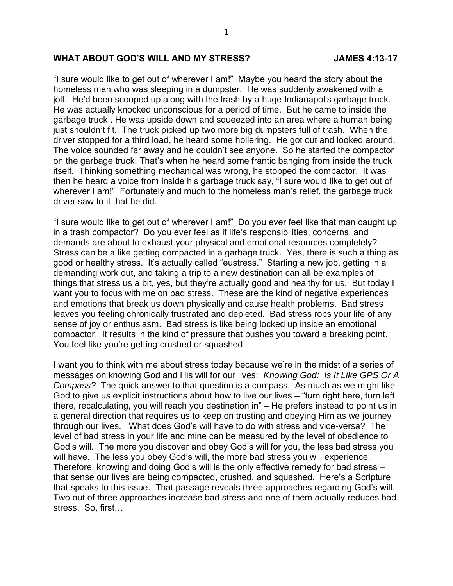## WHAT ABOUT GOD'S WILL AND MY STRESS? **JAMES 4:13-17**

"I sure would like to get out of wherever I am!" Maybe you heard the story about the homeless man who was sleeping in a dumpster. He was suddenly awakened with a jolt. He'd been scooped up along with the trash by a huge Indianapolis garbage truck. He was actually knocked unconscious for a period of time. But he came to inside the garbage truck . He was upside down and squeezed into an area where a human being just shouldn't fit. The truck picked up two more big dumpsters full of trash. When the driver stopped for a third load, he heard some hollering. He got out and looked around. The voice sounded far away and he couldn't see anyone. So he started the compactor on the garbage truck. That's when he heard some frantic banging from inside the truck itself. Thinking something mechanical was wrong, he stopped the compactor. It was then he heard a voice from inside his garbage truck say, "I sure would like to get out of wherever I am!" Fortunately and much to the homeless man's relief, the garbage truck driver saw to it that he did.

"I sure would like to get out of wherever I am!" Do you ever feel like that man caught up in a trash compactor? Do you ever feel as if life's responsibilities, concerns, and demands are about to exhaust your physical and emotional resources completely? Stress can be a like getting compacted in a garbage truck. Yes, there is such a thing as good or healthy stress. It's actually called "eustress." Starting a new job, getting in a demanding work out, and taking a trip to a new destination can all be examples of things that stress us a bit, yes, but they're actually good and healthy for us. But today I want you to focus with me on bad stress. These are the kind of negative experiences and emotions that break us down physically and cause health problems. Bad stress leaves you feeling chronically frustrated and depleted. Bad stress robs your life of any sense of joy or enthusiasm. Bad stress is like being locked up inside an emotional compactor. It results in the kind of pressure that pushes you toward a breaking point. You feel like you're getting crushed or squashed.

I want you to think with me about stress today because we're in the midst of a series of messages on knowing God and His will for our lives: *Knowing God: Is It Like GPS Or A Compass?* The quick answer to that question is a compass. As much as we might like God to give us explicit instructions about how to live our lives – "turn right here, turn left there, recalculating, you will reach you destination in" – He prefers instead to point us in a general direction that requires us to keep on trusting and obeying Him as we journey through our lives. What does God's will have to do with stress and vice-versa? The level of bad stress in your life and mine can be measured by the level of obedience to God's will. The more you discover and obey God's will for you, the less bad stress you will have. The less you obey God's will, the more bad stress you will experience. Therefore, knowing and doing God's will is the only effective remedy for bad stress – that sense our lives are being compacted, crushed, and squashed. Here's a Scripture that speaks to this issue. That passage reveals three approaches regarding God's will. Two out of three approaches increase bad stress and one of them actually reduces bad stress. So, first…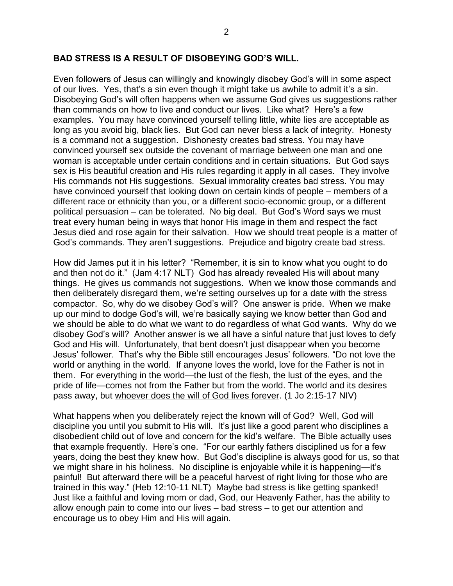Even followers of Jesus can willingly and knowingly disobey God's will in some aspect of our lives. Yes, that's a sin even though it might take us awhile to admit it's a sin. Disobeying God's will often happens when we assume God gives us suggestions rather than commands on how to live and conduct our lives. Like what? Here's a few examples. You may have convinced yourself telling little, white lies are acceptable as long as you avoid big, black lies. But God can never bless a lack of integrity. Honesty is a command not a suggestion. Dishonesty creates bad stress. You may have convinced yourself sex outside the covenant of marriage between one man and one woman is acceptable under certain conditions and in certain situations. But God says sex is His beautiful creation and His rules regarding it apply in all cases. They involve His commands not His suggestions. Sexual immorality creates bad stress. You may have convinced yourself that looking down on certain kinds of people – members of a different race or ethnicity than you, or a different socio-economic group, or a different political persuasion – can be tolerated. No big deal. But God's Word says we must treat every human being in ways that honor His image in them and respect the fact Jesus died and rose again for their salvation. How we should treat people is a matter of God's commands. They aren't suggestions. Prejudice and bigotry create bad stress.

How did James put it in his letter? "Remember, it is sin to know what you ought to do and then not do it." (Jam 4:17 NLT) God has already revealed His will about many things. He gives us commands not suggestions. When we know those commands and then deliberately disregard them, we're setting ourselves up for a date with the stress compactor. So, why do we disobey God's will? One answer is pride. When we make up our mind to dodge God's will, we're basically saying we know better than God and we should be able to do what we want to do regardless of what God wants. Why do we disobey God's will? Another answer is we all have a sinful nature that just loves to defy God and His will. Unfortunately, that bent doesn't just disappear when you become Jesus' follower. That's why the Bible still encourages Jesus' followers. "Do not love the world or anything in the world. If anyone loves the world, love for the Father is not in them. For everything in the world—the lust of the flesh, the lust of the eyes, and the pride of life—comes not from the Father but from the world. The world and its desires pass away, but whoever does the will of God lives forever. (1 Jo 2:15-17 NIV)

What happens when you deliberately reject the known will of God? Well, God will discipline you until you submit to His will. It's just like a good parent who disciplines a disobedient child out of love and concern for the kid's welfare. The Bible actually uses that example frequently. Here's one. "For our earthly fathers disciplined us for a few years, doing the best they knew how. But God's discipline is always good for us, so that we might share in his holiness. No discipline is enjoyable while it is happening—it's painful! But afterward there will be a peaceful harvest of right living for those who are trained in this way." (Heb 12:10-11 NLT) Maybe bad stress is like getting spanked! Just like a faithful and loving mom or dad, God, our Heavenly Father, has the ability to allow enough pain to come into our lives – bad stress – to get our attention and encourage us to obey Him and His will again.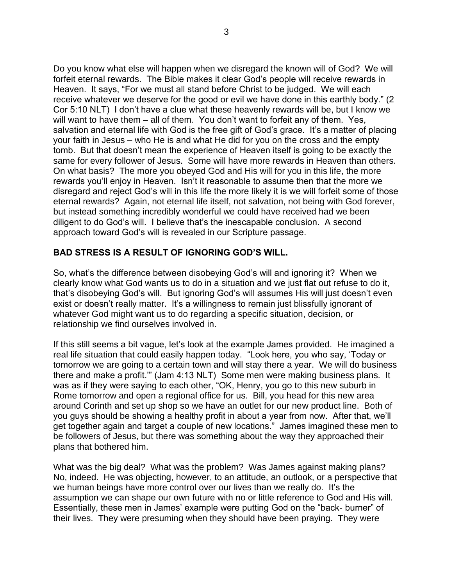Do you know what else will happen when we disregard the known will of God? We will forfeit eternal rewards. The Bible makes it clear God's people will receive rewards in Heaven. It says, "For we must all stand before Christ to be judged. We will each receive whatever we deserve for the good or evil we have done in this earthly body." (2 Cor 5:10 NLT) I don't have a clue what these heavenly rewards will be, but I know we will want to have them – all of them. You don't want to forfeit any of them. Yes, salvation and eternal life with God is the free gift of God's grace. It's a matter of placing your faith in Jesus – who He is and what He did for you on the cross and the empty tomb. But that doesn't mean the experience of Heaven itself is going to be exactly the same for every follower of Jesus. Some will have more rewards in Heaven than others. On what basis? The more you obeyed God and His will for you in this life, the more rewards you'll enjoy in Heaven. Isn't it reasonable to assume then that the more we disregard and reject God's will in this life the more likely it is we will forfeit some of those eternal rewards? Again, not eternal life itself, not salvation, not being with God forever, but instead something incredibly wonderful we could have received had we been diligent to do God's will. I believe that's the inescapable conclusion. A second approach toward God's will is revealed in our Scripture passage.

## **BAD STRESS IS A RESULT OF IGNORING GOD'S WILL.**

So, what's the difference between disobeying God's will and ignoring it? When we clearly know what God wants us to do in a situation and we just flat out refuse to do it, that's disobeying God's will. But ignoring God's will assumes His will just doesn't even exist or doesn't really matter. It's a willingness to remain just blissfully ignorant of whatever God might want us to do regarding a specific situation, decision, or relationship we find ourselves involved in.

If this still seems a bit vague, let's look at the example James provided. He imagined a real life situation that could easily happen today. "Look here, you who say, 'Today or tomorrow we are going to a certain town and will stay there a year. We will do business there and make a profit.'" (Jam 4:13 NLT) Some men were making business plans. It was as if they were saying to each other, "OK, Henry, you go to this new suburb in Rome tomorrow and open a regional office for us. Bill, you head for this new area around Corinth and set up shop so we have an outlet for our new product line. Both of you guys should be showing a healthy profit in about a year from now. After that, we'll get together again and target a couple of new locations." James imagined these men to be followers of Jesus, but there was something about the way they approached their plans that bothered him.

What was the big deal? What was the problem? Was James against making plans? No, indeed. He was objecting, however, to an attitude, an outlook, or a perspective that we human beings have more control over our lives than we really do. It's the assumption we can shape our own future with no or little reference to God and His will. Essentially, these men in James' example were putting God on the "back- burner" of their lives. They were presuming when they should have been praying. They were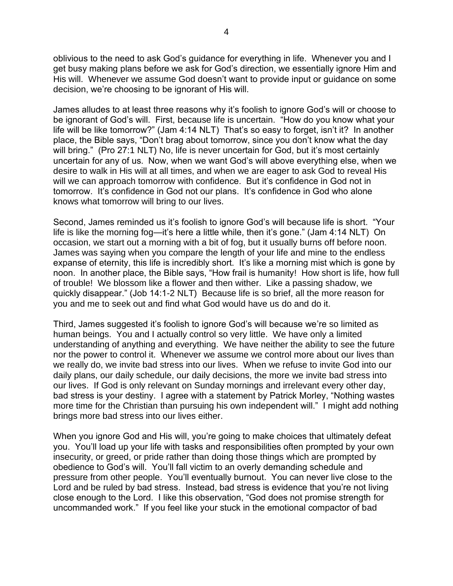oblivious to the need to ask God's guidance for everything in life. Whenever you and I get busy making plans before we ask for God's direction, we essentially ignore Him and His will. Whenever we assume God doesn't want to provide input or guidance on some decision, we're choosing to be ignorant of His will.

James alludes to at least three reasons why it's foolish to ignore God's will or choose to be ignorant of God's will. First, because life is uncertain. "How do you know what your life will be like tomorrow?" (Jam 4:14 NLT) That's so easy to forget, isn't it? In another place, the Bible says, "Don't brag about tomorrow, since you don't know what the day will bring." (Pro 27:1 NLT) No, life is never uncertain for God, but it's most certainly uncertain for any of us. Now, when we want God's will above everything else, when we desire to walk in His will at all times, and when we are eager to ask God to reveal His will we can approach tomorrow with confidence. But it's confidence in God not in tomorrow. It's confidence in God not our plans. It's confidence in God who alone knows what tomorrow will bring to our lives.

Second, James reminded us it's foolish to ignore God's will because life is short. "Your life is like the morning fog—it's here a little while, then it's gone." (Jam 4:14 NLT) On occasion, we start out a morning with a bit of fog, but it usually burns off before noon. James was saying when you compare the length of your life and mine to the endless expanse of eternity, this life is incredibly short. It's like a morning mist which is gone by noon. In another place, the Bible says, "How frail is humanity! How short is life, how full of trouble! We blossom like a flower and then wither. Like a passing shadow, we quickly disappear." (Job 14:1-2 NLT) Because life is so brief, all the more reason for you and me to seek out and find what God would have us do and do it.

Third, James suggested it's foolish to ignore God's will because we're so limited as human beings. You and I actually control so very little. We have only a limited understanding of anything and everything. We have neither the ability to see the future nor the power to control it. Whenever we assume we control more about our lives than we really do, we invite bad stress into our lives. When we refuse to invite God into our daily plans, our daily schedule, our daily decisions, the more we invite bad stress into our lives. If God is only relevant on Sunday mornings and irrelevant every other day, bad stress is your destiny. I agree with a statement by Patrick Morley, "Nothing wastes more time for the Christian than pursuing his own independent will." I might add nothing brings more bad stress into our lives either.

When you ignore God and His will, you're going to make choices that ultimately defeat you. You'll load up your life with tasks and responsibilities often prompted by your own insecurity, or greed, or pride rather than doing those things which are prompted by obedience to God's will. You'll fall victim to an overly demanding schedule and pressure from other people. You'll eventually burnout. You can never live close to the Lord and be ruled by bad stress. Instead, bad stress is evidence that you're not living close enough to the Lord. I like this observation, "God does not promise strength for uncommanded work." If you feel like your stuck in the emotional compactor of bad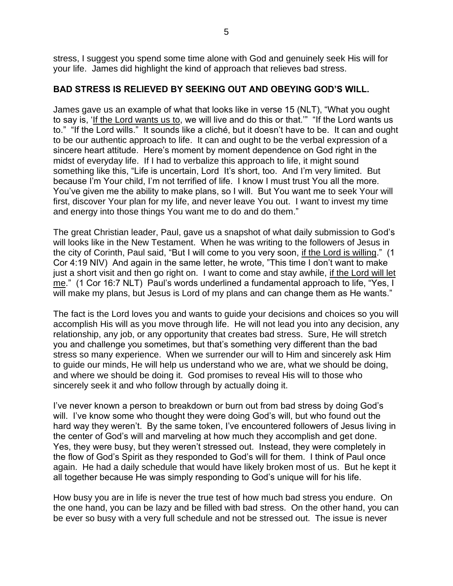stress, I suggest you spend some time alone with God and genuinely seek His will for your life. James did highlight the kind of approach that relieves bad stress.

## **BAD STRESS IS RELIEVED BY SEEKING OUT AND OBEYING GOD'S WILL.**

James gave us an example of what that looks like in verse 15 (NLT), "What you ought to say is, 'If the Lord wants us to, we will live and do this or that.'" "If the Lord wants us to." "If the Lord wills." It sounds like a cliché, but it doesn't have to be. It can and ought to be our authentic approach to life. It can and ought to be the verbal expression of a sincere heart attitude. Here's moment by moment dependence on God right in the midst of everyday life. If I had to verbalize this approach to life, it might sound something like this, "Life is uncertain, Lord It's short, too. And I'm very limited. But because I'm Your child, I'm not terrified of life. I know I must trust You all the more. You've given me the ability to make plans, so I will. But You want me to seek Your will first, discover Your plan for my life, and never leave You out. I want to invest my time and energy into those things You want me to do and do them."

The great Christian leader, Paul, gave us a snapshot of what daily submission to God's will looks like in the New Testament. When he was writing to the followers of Jesus in the city of Corinth, Paul said, "But I will come to you very soon, if the Lord is willing." (1 Cor 4:19 NIV) And again in the same letter, he wrote, "This time I don't want to make just a short visit and then go right on. I want to come and stay awhile, if the Lord will let me." (1 Cor 16:7 NLT) Paul's words underlined a fundamental approach to life, "Yes, I will make my plans, but Jesus is Lord of my plans and can change them as He wants."

The fact is the Lord loves you and wants to guide your decisions and choices so you will accomplish His will as you move through life. He will not lead you into any decision, any relationship, any job, or any opportunity that creates bad stress. Sure, He will stretch you and challenge you sometimes, but that's something very different than the bad stress so many experience. When we surrender our will to Him and sincerely ask Him to guide our minds, He will help us understand who we are, what we should be doing, and where we should be doing it. God promises to reveal His will to those who sincerely seek it and who follow through by actually doing it.

I've never known a person to breakdown or burn out from bad stress by doing God's will. I've know some who thought they were doing God's will, but who found out the hard way they weren't. By the same token, I've encountered followers of Jesus living in the center of God's will and marveling at how much they accomplish and get done. Yes, they were busy, but they weren't stressed out. Instead, they were completely in the flow of God's Spirit as they responded to God's will for them. I think of Paul once again. He had a daily schedule that would have likely broken most of us. But he kept it all together because He was simply responding to God's unique will for his life.

How busy you are in life is never the true test of how much bad stress you endure. On the one hand, you can be lazy and be filled with bad stress. On the other hand, you can be ever so busy with a very full schedule and not be stressed out. The issue is never